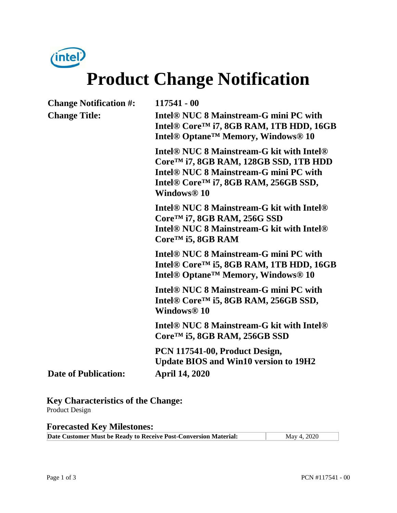

# **Product Change Notification**

| <b>Change Notification #:</b> | 117541 - 00                                                                                                                                                                                                                                                  |  |
|-------------------------------|--------------------------------------------------------------------------------------------------------------------------------------------------------------------------------------------------------------------------------------------------------------|--|
| <b>Change Title:</b>          | Intel <sup>®</sup> NUC 8 Mainstream-G mini PC with<br>Intel <sup>®</sup> Core <sup>™</sup> i7, 8GB RAM, 1TB HDD, 16GB<br>Intel <sup>®</sup> Optane <sup>™</sup> Memory, Windows <sup>®</sup> 10                                                              |  |
|                               | Intel <sup>®</sup> NUC 8 Mainstream-G kit with Intel <sup>®</sup><br>Core <sup>™</sup> i7, 8GB RAM, 128GB SSD, 1TB HDD<br>Intel <sup>®</sup> NUC 8 Mainstream-G mini PC with<br>Intel® Core <sup>TM</sup> i7, 8GB RAM, 256GB SSD,<br>Windows <sup>®</sup> 10 |  |
|                               | Intel <sup>®</sup> NUC 8 Mainstream-G kit with Intel <sup>®</sup><br>$CoreTM$ i7, 8GB RAM, 256G SSD<br>Intel <sup>®</sup> NUC 8 Mainstream-G kit with Intel <sup>®</sup><br>$CoreTM$ i5, 8GB RAM                                                             |  |
|                               | Intel <sup>®</sup> NUC 8 Mainstream-G mini PC with<br>Intel <sup>®</sup> Core <sup>™</sup> i5, 8GB RAM, 1TB HDD, 16GB<br>Intel <sup>®</sup> Optane <sup>™</sup> Memory, Windows <sup>®</sup> 10                                                              |  |
|                               | Intel <sup>®</sup> NUC 8 Mainstream-G mini PC with<br>Intel® Core <sup>™</sup> i5, 8GB RAM, 256GB SSD,<br>Windows <sup>®</sup> 10                                                                                                                            |  |
|                               | Intel <sup>®</sup> NUC 8 Mainstream-G kit with Intel <sup>®</sup><br>Core <sup>™</sup> i5, 8GB RAM, 256GB SSD                                                                                                                                                |  |
| <b>Date of Publication:</b>   | PCN 117541-00, Product Design,<br><b>Update BIOS and Win10 version to 19H2</b><br><b>April 14, 2020</b>                                                                                                                                                      |  |
|                               |                                                                                                                                                                                                                                                              |  |

**Key Characteristics of the Change:** Product Design

**Forecasted Key Milestones:** 

**Date Customer Must be Ready to Receive Post-Conversion Material:** May 4, 2020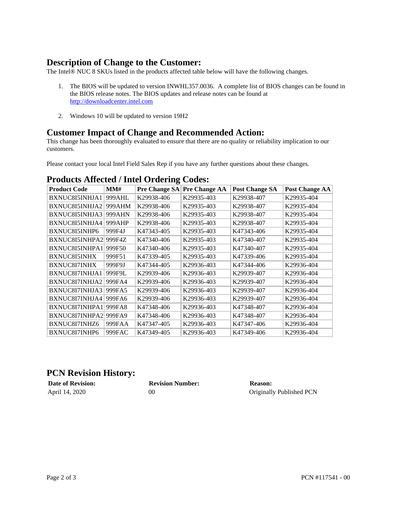### **Description of Change to the Customer:**

The Intel<sup>®</sup> NUC 8 SKUs listed in the products affected table below will have the following changes.

- 1. The BIOS will be updated to version INWHL357.0036. A complete list of BIOS changes can be found in the BIOS release notes. The BIOS updates and release notes can be found at [http://downloadcenter.intel.com](http://downloadcenter.intel.com/)
- 2. Windows 10 will be updated to version 19H2

## **Customer Impact of Change and Recommended Action:**

This change has been thoroughly evaluated to ensure that there are no quality or reliability implication to our customers.

Please contact your local Intel Field Sales Rep if you have any further questions about these changes.

| <b>Product Code</b> | MMH    | <b>Pre Change SA</b> | <b>Pre Change AA</b> | <b>Post Change SA</b> | <b>Post Change AA</b> |
|---------------------|--------|----------------------|----------------------|-----------------------|-----------------------|
| BXNUC8I5INHJA1      | 999AHL | K29938-406           | K29935-403           | K29938-407            | K29935-404            |
| BXNUC8I5INHJA2      | 999AHM | K29938-406           | K29935-403           | K29938-407            | K29935-404            |
| BXNUC8I5INHJA3      | 999AHN | K29938-406           | K29935-403           | K29938-407            | K29935-404            |
| BXNUC8I5INHJA4      | 999AHP | K29938-406           | K29935-403           | K29938-407            | K29935-404            |
| BXNUC8I5INHP6       | 999F4J | K47343-405           | K29935-403           | K47343-406            | K29935-404            |
| BXNUC8I5INHPA2      | 999F4Z | K47340-406           | K29935-403           | K47340-407            | K29935-404            |
| BXNUC8I5INHPA1      | 999F50 | K47340-406           | K29935-403           | K47340-407            | K29935-404            |
| <b>BXNUC8I5INHX</b> | 999F51 | K47339-405           | K29935-403           | K47339-406            | K29935-404            |
| BXNUC8I7INHX        | 999F9J | K47344-405           | K29936-403           | K47344-406            | K29936-404            |
| BXNUC8I7INHJA1      | 999F9L | K29939-406           | K29936-403           | K29939-407            | K29936-404            |
| BXNUC8I7INHJA2      | 999FA4 | K29939-406           | K29936-403           | K29939-407            | K29936-404            |
| BXNUC8I7INHJA3      | 999FA5 | K29939-406           | K29936-403           | K29939-407            | K29936-404            |
| BXNUC8I7INHJA4      | 999FA6 | K29939-406           | K29936-403           | K29939-407            | K29936-404            |
| BXNUC8I7INHPA1      | 999FA8 | K47348-406           | K29936-403           | K47348-407            | K29936-404            |
| BXNUC8I7INHPA2      | 999FA9 | K47348-406           | K29936-403           | K47348-407            | K29936-404            |
| BXNUC8I7INHZ6       | 999FAA | K47347-405           | K29936-403           | K47347-406            | K29936-404            |
| BXNUC8I7INHP6       | 999FAC | K47349-405           | K29936-403           | K47349-406            | K29936-404            |

#### **Products Affected / Intel Ordering Codes:**

#### **PCN Revision History:**

| <b>Date of Revision:</b> | <b>Revision Number:</b> | Reason:                  |
|--------------------------|-------------------------|--------------------------|
| April 14, 2020           | 00                      | Originally Published PCN |